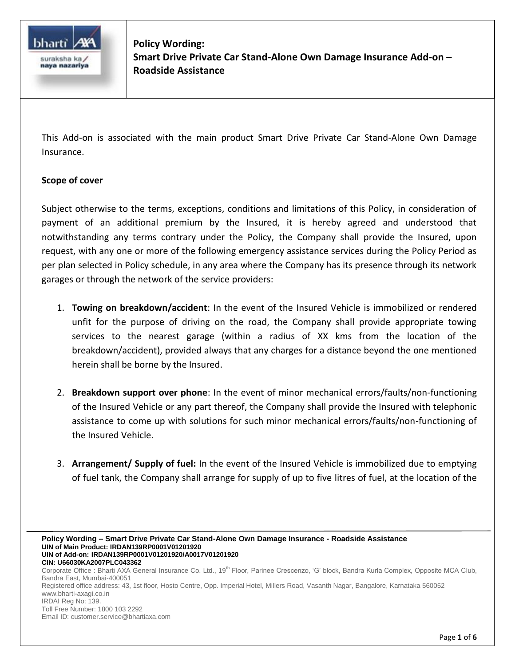

**Policy Wording: Smart Drive Private Car Stand-Alone Own Damage Insurance Add-on – Roadside Assistance**

This Add-on is associated with the main product Smart Drive Private Car Stand-Alone Own Damage Insurance.

## **Scope of cover**

Subject otherwise to the terms, exceptions, conditions and limitations of this Policy, in consideration of payment of an additional premium by the Insured, it is hereby agreed and understood that notwithstanding any terms contrary under the Policy, the Company shall provide the Insured, upon request, with any one or more of the following emergency assistance services during the Policy Period as per plan selected in Policy schedule, in any area where the Company has its presence through its network garages or through the network of the service providers:

- 1. **Towing on breakdown/accident**: In the event of the Insured Vehicle is immobilized or rendered unfit for the purpose of driving on the road, the Company shall provide appropriate towing services to the nearest garage (within a radius of XX kms from the location of the breakdown/accident), provided always that any charges for a distance beyond the one mentioned herein shall be borne by the Insured.
- 2. **Breakdown support over phone**: In the event of minor mechanical errors/faults/non-functioning of the Insured Vehicle or any part thereof, the Company shall provide the Insured with telephonic assistance to come up with solutions for such minor mechanical errors/faults/non-functioning of the Insured Vehicle.
- 3. **Arrangement/ Supply of fuel:** In the event of the Insured Vehicle is immobilized due to emptying of fuel tank, the Company shall arrange for supply of up to five litres of fuel, at the location of the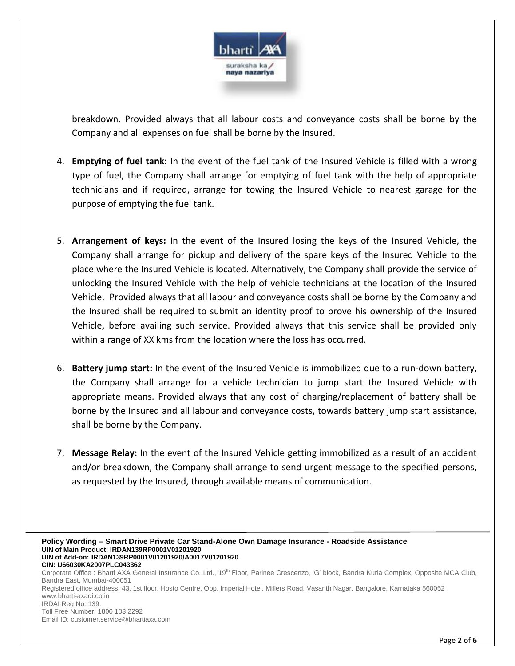

breakdown. Provided always that all labour costs and conveyance costs shall be borne by the Company and all expenses on fuel shall be borne by the Insured.

- 4. **Emptying of fuel tank:** In the event of the fuel tank of the Insured Vehicle is filled with a wrong type of fuel, the Company shall arrange for emptying of fuel tank with the help of appropriate technicians and if required, arrange for towing the Insured Vehicle to nearest garage for the purpose of emptying the fuel tank.
- 5. **Arrangement of keys:** In the event of the Insured losing the keys of the Insured Vehicle, the Company shall arrange for pickup and delivery of the spare keys of the Insured Vehicle to the place where the Insured Vehicle is located. Alternatively, the Company shall provide the service of unlocking the Insured Vehicle with the help of vehicle technicians at the location of the Insured Vehicle. Provided always that all labour and conveyance costs shall be borne by the Company and the Insured shall be required to submit an identity proof to prove his ownership of the Insured Vehicle, before availing such service. Provided always that this service shall be provided only within a range of XX kms from the location where the loss has occurred.
- 6. **Battery jump start:** In the event of the Insured Vehicle is immobilized due to a run-down battery, the Company shall arrange for a vehicle technician to jump start the Insured Vehicle with appropriate means. Provided always that any cost of charging/replacement of battery shall be borne by the Insured and all labour and conveyance costs, towards battery jump start assistance, shall be borne by the Company.
- 7. **Message Relay:** In the event of the Insured Vehicle getting immobilized as a result of an accident and/or breakdown, the Company shall arrange to send urgent message to the specified persons, as requested by the Insured, through available means of communication.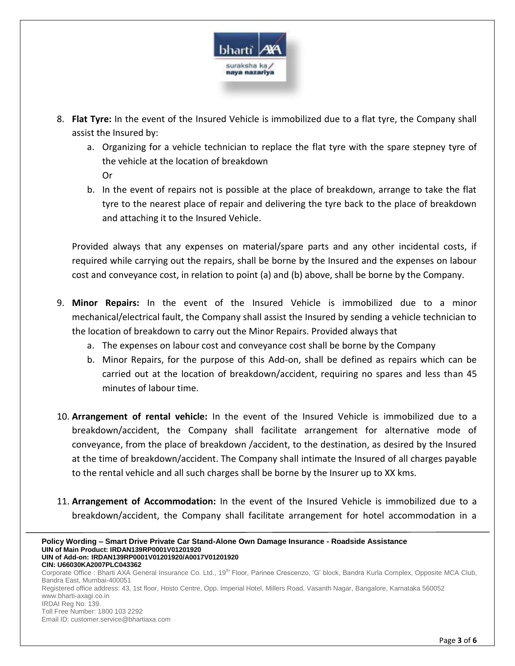

- 8. **Flat Tyre:** In the event of the Insured Vehicle is immobilized due to a flat tyre, the Company shall assist the Insured by:
	- a. Organizing for a vehicle technician to replace the flat tyre with the spare stepney tyre of the vehicle at the location of breakdown Or
	- b. In the event of repairs not is possible at the place of breakdown, arrange to take the flat tyre to the nearest place of repair and delivering the tyre back to the place of breakdown and attaching it to the Insured Vehicle.

Provided always that any expenses on material/spare parts and any other incidental costs, if required while carrying out the repairs, shall be borne by the Insured and the expenses on labour cost and conveyance cost, in relation to point (a) and (b) above, shall be borne by the Company.

- 9. **Minor Repairs:** In the event of the Insured Vehicle is immobilized due to a minor mechanical/electrical fault, the Company shall assist the Insured by sending a vehicle technician to the location of breakdown to carry out the Minor Repairs. Provided always that
	- a. The expenses on labour cost and conveyance cost shall be borne by the Company
	- b. Minor Repairs, for the purpose of this Add-on, shall be defined as repairs which can be carried out at the location of breakdown/accident, requiring no spares and less than 45 minutes of labour time.
- 10. **Arrangement of rental vehicle:** In the event of the Insured Vehicle is immobilized due to a breakdown/accident, the Company shall facilitate arrangement for alternative mode of conveyance, from the place of breakdown /accident, to the destination, as desired by the Insured at the time of breakdown/accident. The Company shall intimate the Insured of all charges payable to the rental vehicle and all such charges shall be borne by the Insurer up to XX kms.
- 11. **Arrangement of Accommodation:** In the event of the Insured Vehicle is immobilized due to a breakdown/accident, the Company shall facilitate arrangement for hotel accommodation in a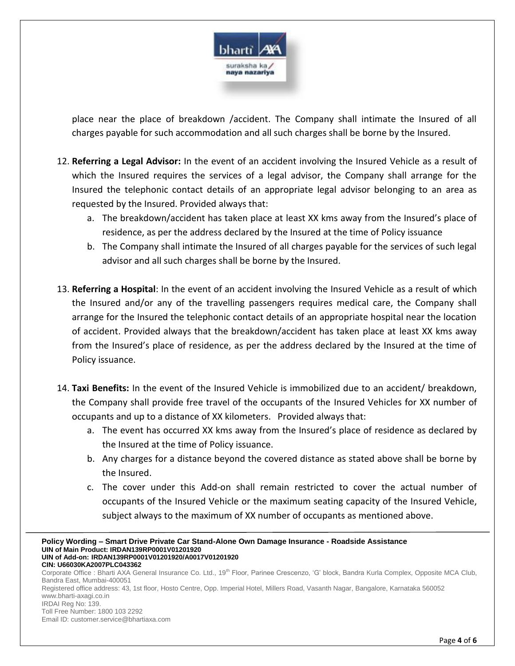

place near the place of breakdown /accident. The Company shall intimate the Insured of all charges payable for such accommodation and all such charges shall be borne by the Insured.

- 12. **Referring a Legal Advisor:** In the event of an accident involving the Insured Vehicle as a result of which the Insured requires the services of a legal advisor, the Company shall arrange for the Insured the telephonic contact details of an appropriate legal advisor belonging to an area as requested by the Insured. Provided always that:
	- a. The breakdown/accident has taken place at least XX kms away from the Insured's place of residence, as per the address declared by the Insured at the time of Policy issuance
	- b. The Company shall intimate the Insured of all charges payable for the services of such legal advisor and all such charges shall be borne by the Insured.
- 13. **Referring a Hospital**: In the event of an accident involving the Insured Vehicle as a result of which the Insured and/or any of the travelling passengers requires medical care, the Company shall arrange for the Insured the telephonic contact details of an appropriate hospital near the location of accident. Provided always that the breakdown/accident has taken place at least XX kms away from the Insured's place of residence, as per the address declared by the Insured at the time of Policy issuance.
- 14. **Taxi Benefits:** In the event of the Insured Vehicle is immobilized due to an accident/ breakdown, the Company shall provide free travel of the occupants of the Insured Vehicles for XX number of occupants and up to a distance of XX kilometers. Provided always that:
	- a. The event has occurred XX kms away from the Insured's place of residence as declared by the Insured at the time of Policy issuance.
	- b. Any charges for a distance beyond the covered distance as stated above shall be borne by the Insured.
	- c. The cover under this Add-on shall remain restricted to cover the actual number of occupants of the Insured Vehicle or the maximum seating capacity of the Insured Vehicle, subject always to the maximum of XX number of occupants as mentioned above.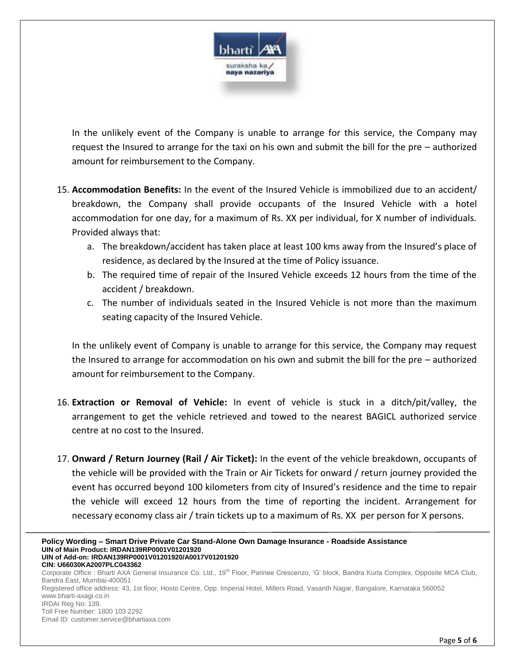

In the unlikely event of the Company is unable to arrange for this service, the Company may request the Insured to arrange for the taxi on his own and submit the bill for the pre – authorized amount for reimbursement to the Company.

- 15. **Accommodation Benefits:** In the event of the Insured Vehicle is immobilized due to an accident/ breakdown, the Company shall provide occupants of the Insured Vehicle with a hotel accommodation for one day, for a maximum of Rs. XX per individual, for X number of individuals. Provided always that:
	- a. The breakdown/accident has taken place at least 100 kms away from the Insured's place of residence, as declared by the Insured at the time of Policy issuance.
	- b. The required time of repair of the Insured Vehicle exceeds 12 hours from the time of the accident / breakdown.
	- c. The number of individuals seated in the Insured Vehicle is not more than the maximum seating capacity of the Insured Vehicle.

In the unlikely event of Company is unable to arrange for this service, the Company may request the Insured to arrange for accommodation on his own and submit the bill for the pre – authorized amount for reimbursement to the Company.

- 16. **Extraction or Removal of Vehicle:** In event of vehicle is stuck in a ditch/pit/valley, the arrangement to get the vehicle retrieved and towed to the nearest BAGICL authorized service centre at no cost to the Insured.
- 17. **Onward / Return Journey (Rail / Air Ticket):** In the event of the vehicle breakdown, occupants of the vehicle will be provided with the Train or Air Tickets for onward / return journey provided the event has occurred beyond 100 kilometers from city of Insured's residence and the time to repair the vehicle will exceed 12 hours from the time of reporting the incident. Arrangement for necessary economy class air / train tickets up to a maximum of Rs. XX per person for X persons.